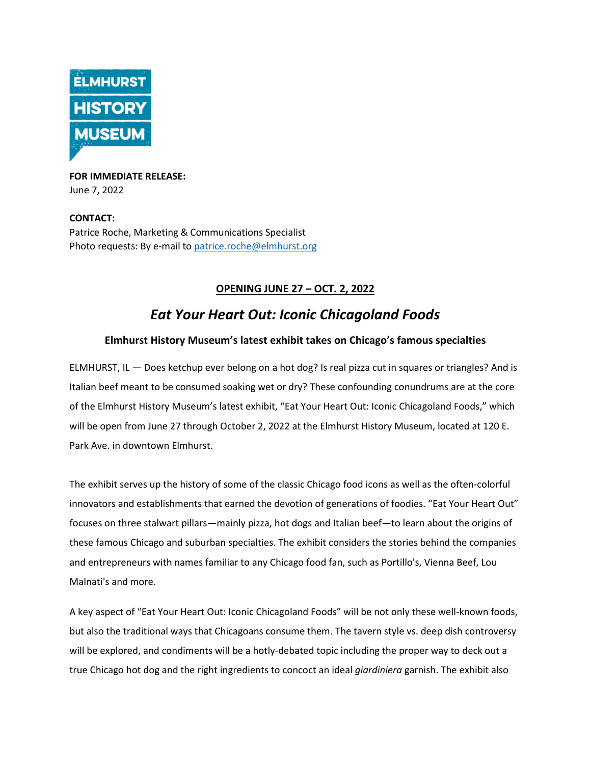

**FOR IMMEDIATE RELEASE:** June 7, 2022

### **CONTACT:** Patrice Roche, Marketing & Communications Specialist Photo requests: By e-mail to [patrice.roche@elmhurst.org](mailto:patrice.roche@elmhurst.org)

## **OPENING JUNE 27 – OCT. 2, 2022**

# *Eat Your Heart Out: Iconic Chicagoland Foods*

### **Elmhurst History Museum's latest exhibit takes on Chicago's famous specialties**

ELMHURST, IL — Does ketchup ever belong on a hot dog? Is real pizza cut in squares or triangles? And is Italian beef meant to be consumed soaking wet or dry? These confounding conundrums are at the core of the Elmhurst History Museum's latest exhibit, "Eat Your Heart Out: Iconic Chicagoland Foods," which will be open from June 27 through October 2, 2022 at the Elmhurst History Museum, located at 120 E. Park Ave. in downtown Elmhurst.

The exhibit serves up the history of some of the classic Chicago food icons as well as the often-colorful innovators and establishments that earned the devotion of generations of foodies. "Eat Your Heart Out" focuses on three stalwart pillars—mainly pizza, hot dogs and Italian beef—to learn about the origins of these famous Chicago and suburban specialties. The exhibit considers the stories behind the companies and entrepreneurs with names familiar to any Chicago food fan, such as Portillo's, Vienna Beef, Lou Malnati's and more.

A key aspect of "Eat Your Heart Out: Iconic Chicagoland Foods" will be not only these well-known foods, but also the traditional ways that Chicagoans consume them. The tavern style vs. deep dish controversy will be explored, and condiments will be a hotly-debated topic including the proper way to deck out a true Chicago hot dog and the right ingredients to concoct an ideal *giardiniera* garnish. The exhibit also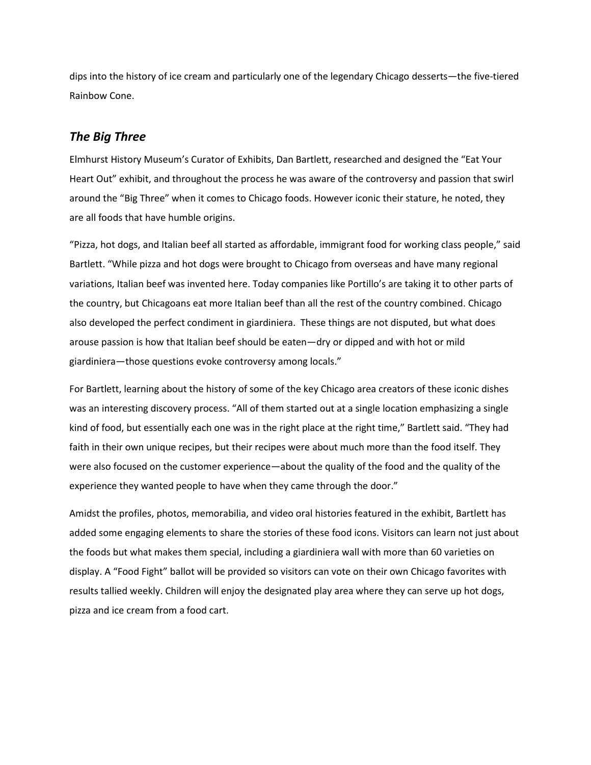dips into the history of ice cream and particularly one of the legendary Chicago desserts—the five-tiered Rainbow Cone.

### *The Big Three*

Elmhurst History Museum's Curator of Exhibits, Dan Bartlett, researched and designed the "Eat Your Heart Out" exhibit, and throughout the process he was aware of the controversy and passion that swirl around the "Big Three" when it comes to Chicago foods. However iconic their stature, he noted, they are all foods that have humble origins.

"Pizza, hot dogs, and Italian beef all started as affordable, immigrant food for working class people," said Bartlett. "While pizza and hot dogs were brought to Chicago from overseas and have many regional variations, Italian beef was invented here. Today companies like Portillo's are taking it to other parts of the country, but Chicagoans eat more Italian beef than all the rest of the country combined. Chicago also developed the perfect condiment in giardiniera. These things are not disputed, but what does arouse passion is how that Italian beef should be eaten—dry or dipped and with hot or mild giardiniera—those questions evoke controversy among locals."

For Bartlett, learning about the history of some of the key Chicago area creators of these iconic dishes was an interesting discovery process. "All of them started out at a single location emphasizing a single kind of food, but essentially each one was in the right place at the right time," Bartlett said. "They had faith in their own unique recipes, but their recipes were about much more than the food itself. They were also focused on the customer experience—about the quality of the food and the quality of the experience they wanted people to have when they came through the door."

Amidst the profiles, photos, memorabilia, and video oral histories featured in the exhibit, Bartlett has added some engaging elements to share the stories of these food icons. Visitors can learn not just about the foods but what makes them special, including a giardiniera wall with more than 60 varieties on display. A "Food Fight" ballot will be provided so visitors can vote on their own Chicago favorites with results tallied weekly. Children will enjoy the designated play area where they can serve up hot dogs, pizza and ice cream from a food cart.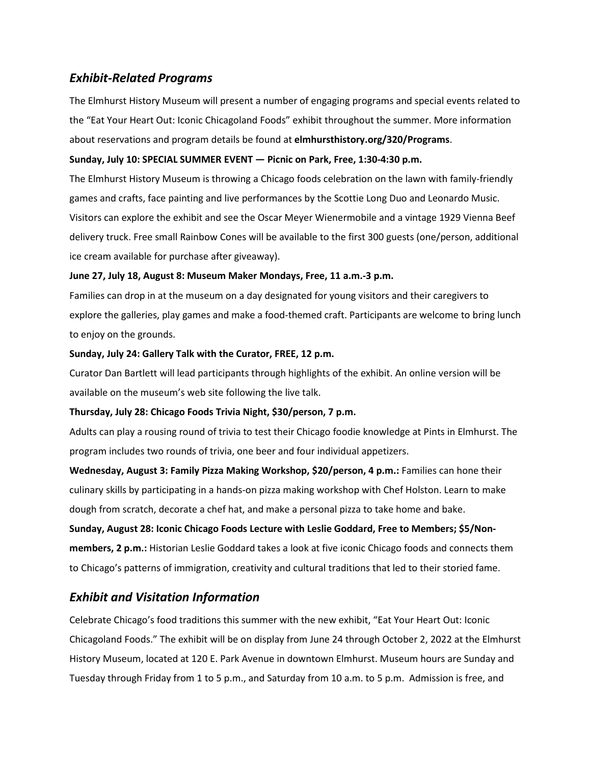### *Exhibit-Related Programs*

The Elmhurst History Museum will present a number of engaging programs and special events related to the "Eat Your Heart Out: Iconic Chicagoland Foods" exhibit throughout the summer. More information about reservations and program details be found at **elmhursthistory.org/320/Programs**.

### **Sunday, July 10: SPECIAL SUMMER EVENT — Picnic on Park, Free, 1:30-4:30 p.m.**

The Elmhurst History Museum is throwing a Chicago foods celebration on the lawn with family-friendly games and crafts, face painting and live performances by the Scottie Long Duo and Leonardo Music. Visitors can explore the exhibit and see the Oscar Meyer Wienermobile and a vintage 1929 Vienna Beef delivery truck. Free small Rainbow Cones will be available to the first 300 guests (one/person, additional ice cream available for purchase after giveaway).

### **June 27, July 18, August 8: Museum Maker Mondays, Free, 11 a.m.-3 p.m.**

Families can drop in at the museum on a day designated for young visitors and their caregivers to explore the galleries, play games and make a food-themed craft. Participants are welcome to bring lunch to enjoy on the grounds.

### **Sunday, July 24: Gallery Talk with the Curator, FREE, 12 p.m.**

Curator Dan Bartlett will lead participants through highlights of the exhibit. An online version will be available on the museum's web site following the live talk.

### **Thursday, July 28: Chicago Foods Trivia Night, \$30/person, 7 p.m.**

Adults can play a rousing round of trivia to test their Chicago foodie knowledge at Pints in Elmhurst. The program includes two rounds of trivia, one beer and four individual appetizers.

**Wednesday, August 3: Family Pizza Making Workshop, \$20/person, 4 p.m.:** Families can hone their culinary skills by participating in a hands-on pizza making workshop with Chef Holston. Learn to make dough from scratch, decorate a chef hat, and make a personal pizza to take home and bake.

### **Sunday, August 28: Iconic Chicago Foods Lecture with Leslie Goddard, Free to Members; \$5/Non-**

**members, 2 p.m.:** Historian Leslie Goddard takes a look at five iconic Chicago foods and connects them to Chicago's patterns of immigration, creativity and cultural traditions that led to their storied fame.

## *Exhibit and Visitation Information*

Celebrate Chicago's food traditions this summer with the new exhibit, "Eat Your Heart Out: Iconic Chicagoland Foods." The exhibit will be on display from June 24 through October 2, 2022 at the Elmhurst History Museum, located at 120 E. Park Avenue in downtown Elmhurst. Museum hours are Sunday and Tuesday through Friday from 1 to 5 p.m., and Saturday from 10 a.m. to 5 p.m. Admission is free, and